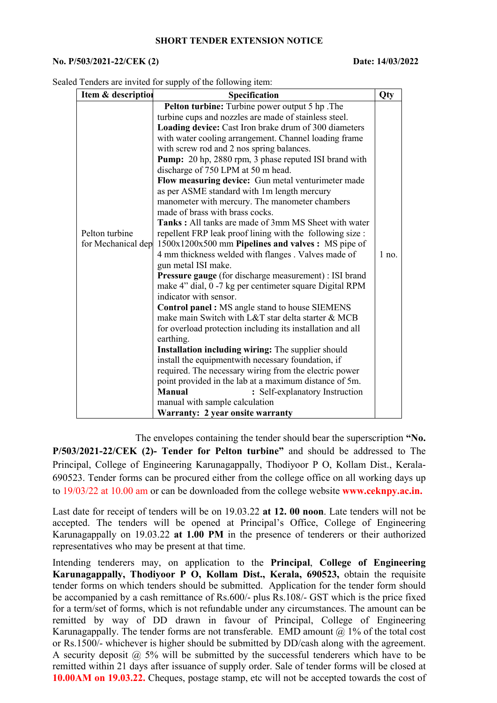## **SHORT TENDER EXTENSION NOTICE**

## **No. P/503/2021-22/CEK (2) Date: 14/03/2022**

Sealed Tenders are invited for supply of the following item:

| Item & description | Specification                                                           | Qty     |
|--------------------|-------------------------------------------------------------------------|---------|
|                    | Pelton turbine: Turbine power output 5 hp. The                          |         |
|                    | turbine cups and nozzles are made of stainless steel.                   |         |
|                    | Loading device: Cast Iron brake drum of 300 diameters                   |         |
|                    | with water cooling arrangement. Channel loading frame                   |         |
|                    | with screw rod and 2 nos spring balances.                               |         |
|                    | Pump: 20 hp, 2880 rpm, 3 phase reputed ISI brand with                   |         |
|                    | discharge of 750 LPM at 50 m head.                                      |         |
|                    | Flow measuring device: Gun metal venturimeter made                      |         |
|                    | as per ASME standard with 1m length mercury                             |         |
|                    | manometer with mercury. The manometer chambers                          |         |
|                    | made of brass with brass cocks.                                         |         |
|                    | Tanks: All tanks are made of 3mm MS Sheet with water                    |         |
| Pelton turbine     | repellent FRP leak proof lining with the following size :               |         |
| for Mechanical dep | 1500x1200x500 mm Pipelines and valves : MS pipe of                      |         |
|                    | 4 mm thickness welded with flanges . Valves made of                     | $1$ no. |
|                    | gun metal ISI make.                                                     |         |
|                    | <b>Pressure gauge</b> (for discharge measurement) : ISI brand           |         |
|                    | make 4" dial, 0 -7 kg per centimeter square Digital RPM                 |         |
|                    | indicator with sensor.                                                  |         |
|                    | Control panel : MS angle stand to house SIEMENS                         |         |
|                    | make main Switch with L&T star delta starter & MCB                      |         |
|                    | for overload protection including its installation and all              |         |
|                    | earthing.                                                               |         |
|                    | Installation including wiring: The supplier should                      |         |
|                    | install the equipmentwith necessary foundation, if                      |         |
|                    | required. The necessary wiring from the electric power                  |         |
|                    | point provided in the lab at a maximum distance of 5m.<br><b>Manual</b> |         |
|                    | : Self-explanatory Instruction                                          |         |
|                    | manual with sample calculation                                          |         |
|                    | Warranty: 2 year onsite warranty                                        |         |

The envelopes containing the tender should bear the superscription **"No. P/503/2021-22/CEK (2)- Tender for Pelton turbine"** and should be addressed to The Principal, College of Engineering Karunagappally, Thodiyoor P O, Kollam Dist., Kerala- 690523. Tender forms can be procured either from the college office on all working days up to 19/03/22 at 10.00 am or can be downloaded from the college website **www.ceknpy.ac.in.**

Last date for receipt of tenders will be on 19.03.22 **at 12. 00 noon**. Late tenders will not be accepted. The tenders will be opened at Principal's Office, College of Engineering Karunagappally on 19.03.22 **at 1.00 PM** in the presence of tenderers or their authorized representatives who may be present at that time.

Intending tenderers may, on application to the **Principal**, College of Engineering **Karunagappally, Thodiyoor P O, Kollam Dist., Kerala, 690523,** obtain the requisite tender forms on which tenders should be submitted. Application for the tender form should be accompanied by a cash remittance of Rs.600/- plus Rs.108/- GST which is the price fixed for a term/set of forms, which is not refundable under any circumstances. The amount can be remitted by way of DD drawn in favour of Principal, College of Engineering Karunagappally. The tender forms are not transferable. EMD amount  $@$  1% of the total cost or Rs.1500/- whichever is higher should be submitted by DD/cash along with the agreement. A security deposit  $(a)$  5% will be submitted by the successful tenderers which have to be remitted within 21 daysafter issuance of supply order. Sale of tender forms will be closed at **10.00AM on 19.03.22.** Cheques, postage stamp, etc will not be accepted towards the cost of